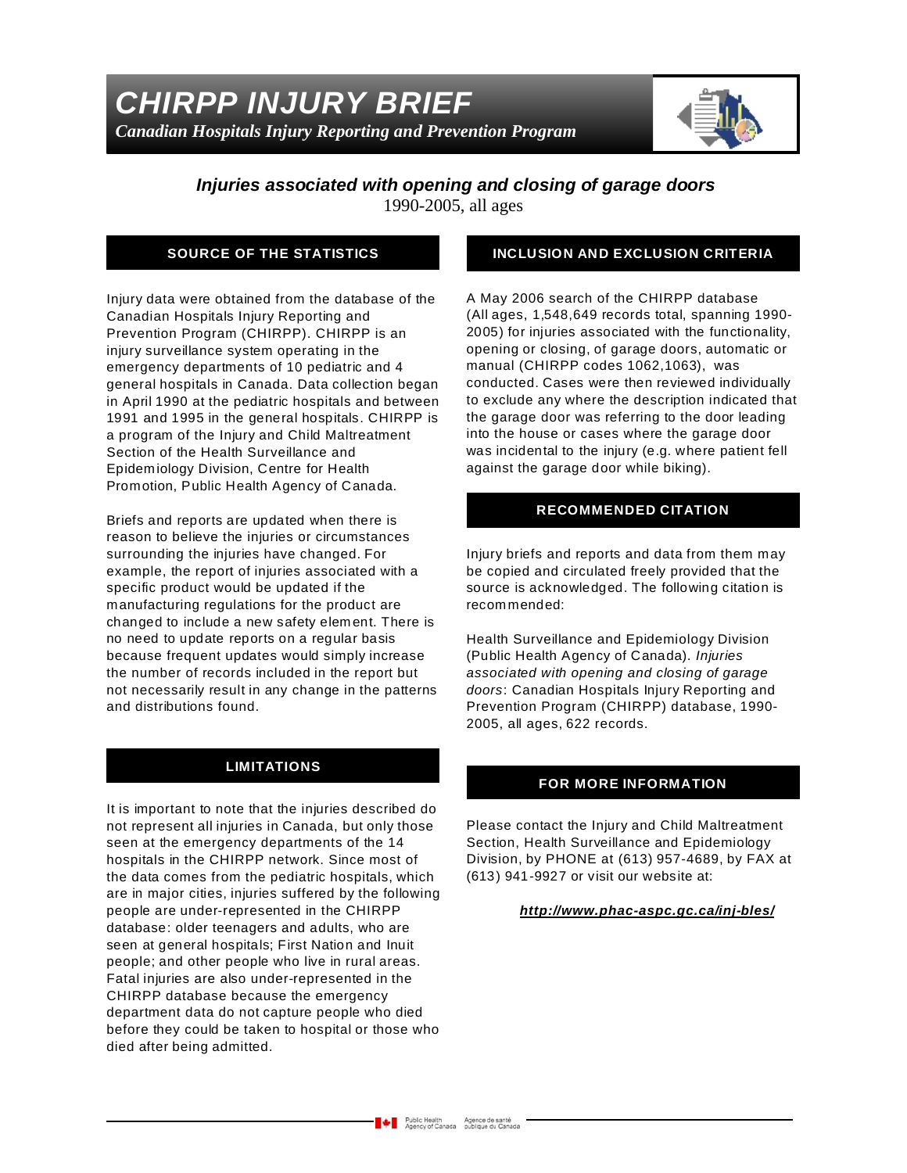

### *Injuries associated with opening and closing of garage doors* 1990-2005, all ages

## **SOURCE OF THE STATISTICS**

Injury data were obtained from the database of the Canadian Hospitals Injury Reporting and Prevention Program (CHIRPP). CHIRPP is an injury surveillance system operating in the emergency departments of 10 pediatric and 4 general hospitals in Canada. Data collection began in April 1990 at the pediatric hospitals and between 1991 and 1995 in the general hospitals. CHIRPP is a program of the Injury and Child Maltreatment Section of the Health Surveillance and Epidemiology Division, Centre for Health Promotion, Public Health Agency of Canada.

Briefs and reports are updated when there is reason to believe the injuries or circumstances surrounding the injuries have changed. For example, the report of injuries associated with a specific product would be updated if the manufacturing regulations for the product are changed to include a new safety element. There is no need to update reports on a regular basis because frequent updates would simply increase the number of records included in the report but not necessarily result in any change in the patterns and distributions found.

### **LIMITATIONS**

It is important to note that the injuries described do not represent all injuries in Canada, but only those seen at the emergency departments of the 14 hospitals in the CHIRPP network. Since most of the data comes from the pediatric hospitals, which are in major cities, injuries suffered by the following people are under-represented in the CHIRPP database: older teenagers and adults, who are seen at general hospitals; First Nation and Inuit people; and other people who live in rural areas. Fatal injuries are also under-represented in the CHIRPP database because the emergency department data do not capture people who died before they could be taken to hospital or those who died after being admitted.

### **INCLUSION AND EXCLUSION CRITERIA**

A May 2006 search of the CHIRPP database (All ages, 1,548,649 records total, spanning 1990- 2005) for injuries associated with the functionality, opening or closing, of garage doors, automatic or manual (CHIRPP codes 1062,1063), was conducted. Cases were then reviewed individually to exclude any where the description indicated that the garage door was referring to the door leading into the house or cases where the garage door was incidental to the injury (e.g. where patient fell against the garage door while biking).

### **RECOMMENDED CITATION**

Injury briefs and reports and data from them may be copied and circulated freely provided that the source is acknowledged. The following citation is recommended:

Health Surveillance and Epidemiology Division (Public Health Agency of Canada). *Injuries associated with opening and closing of garage doors*: Canadian Hospitals Injury Reporting and Prevention Program (CHIRPP) database, 1990- 2005, all ages, 622 records.

#### **FOR MORE INFORMATION**

Please contact the Injury and Child Maltreatment Section, Health Surveillance and Epidemiology Division, by PHONE at (613) 957-4689, by FAX at (613) 941-9927 or visit our website at:

#### *http://www.phac-aspc.gc.ca/inj-bles/*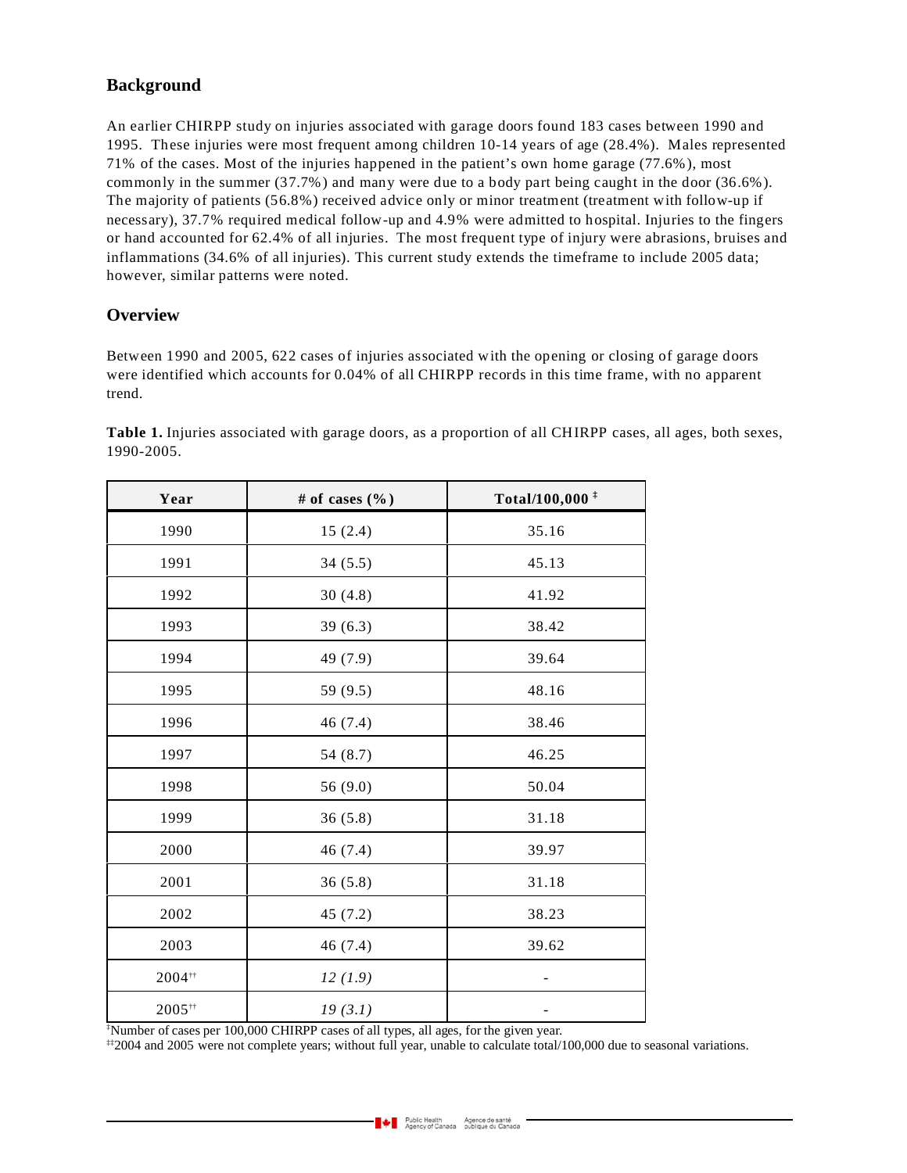# **Background**

An earlier CHIRPP study on injuries associated with garage doors found 183 cases between 1990 and 1995. These injuries were most frequent among children 10-14 years of age (28.4%). Males represented 71% of the cases. Most of the injuries happened in the patient's own home garage (77.6%), most commonly in the summer (37.7%) and many were due to a body part being caught in the door (36.6%). The majority of patients (56.8%) received advice only or minor treatment (treatment with follow-up if necessary), 37.7% required medical follow-up and 4.9% were admitted to hospital. Injuries to the fingers or hand accounted for 62.4% of all injuries. The most frequent type of injury were abrasions, bruises and inflammations (34.6% of all injuries). This current study extends the timeframe to include 2005 data; however, similar patterns were noted.

### **Overview**

Between 1990 and 2005, 622 cases of injuries associated with the opening or closing of garage doors were identified which accounts for 0.04% of all CHIRPP records in this time frame, with no apparent trend.

| Year        | # of cases $(\% )$ | Total/100,000 <sup>‡</sup> |
|-------------|--------------------|----------------------------|
| 1990        | 15(2.4)            | 35.16                      |
| 1991        | 34(5.5)            | 45.13                      |
| 1992        | 30(4.8)            | 41.92                      |
| 1993        | 39(6.3)            | 38.42                      |
| 1994        | 49 (7.9)           | 39.64                      |
| 1995        | 59 (9.5)           | 48.16                      |
| 1996        | 46 (7.4)           | 38.46                      |
| 1997        | 54 (8.7)           | 46.25                      |
| 1998        | 56 (9.0)           | 50.04                      |
| 1999        | 36(5.8)            | 31.18                      |
| 2000        | 46 (7.4)           | 39.97                      |
| 2001        | 36(5.8)            | 31.18                      |
| 2002        | 45(7.2)            | 38.23                      |
| 2003        | 46 (7.4)           | 39.62                      |
| $2004^{++}$ | 12(1.9)            |                            |
| 2005#       | 19(3.1)            | -                          |

**Table 1.** Injuries associated with garage doors, as a proportion of all CHIRPP cases, all ages, both sexes, 1990-2005.

‡Number of cases per 100,000 CHIRPP cases of all types, all ages, for the given year.

‡‡2004 and 2005 were not complete years; without full year, unable to calculate total/100,000 due to seasonal variations.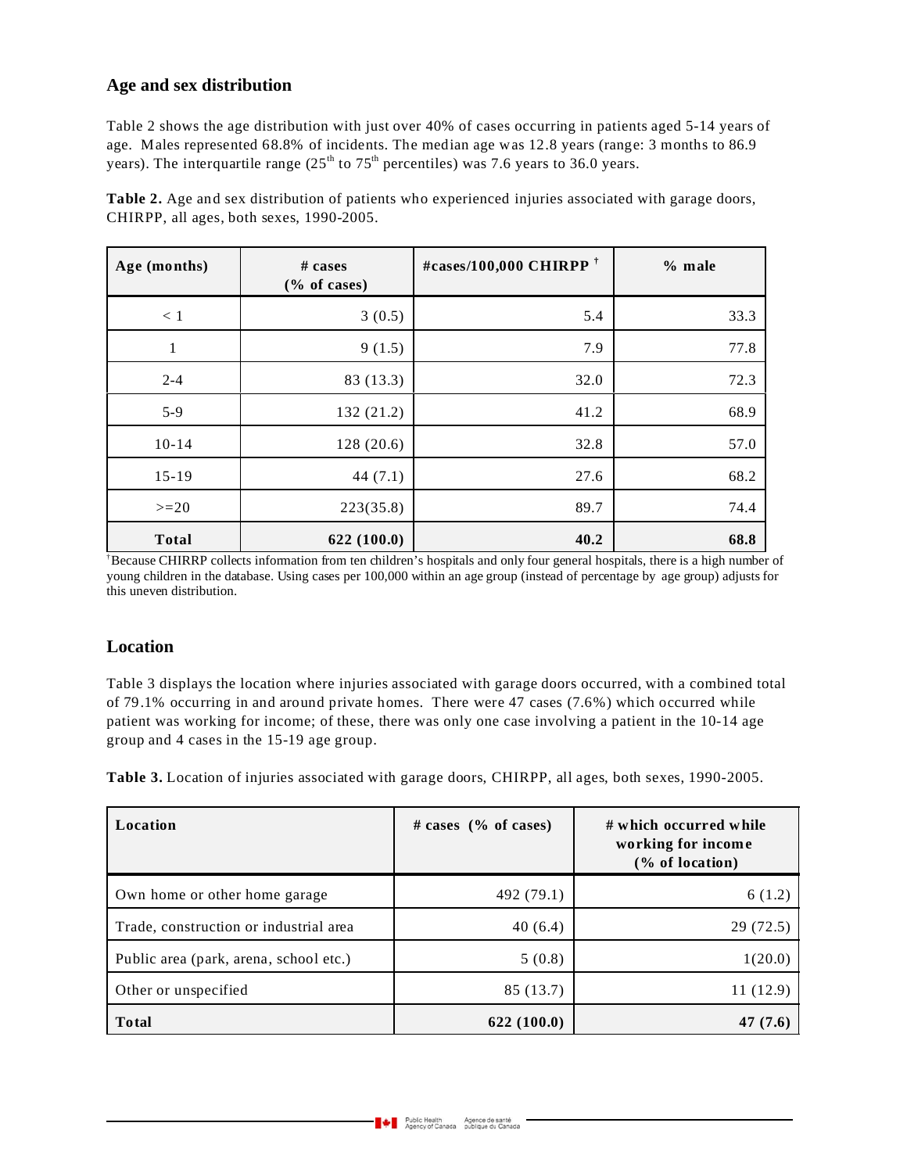### **Age and sex distribution**

Table 2 shows the age distribution with just over 40% of cases occurring in patients aged 5-14 years of age. Males represented 68.8% of incidents. The median age was 12.8 years (range: 3 months to 86.9 years). The interquartile range  $(25<sup>th</sup>$  to  $75<sup>th</sup>$  percentiles) was 7.6 years to 36.0 years.

| Age (months) | # cases<br>$(\%$ of cases) | #cases/100,000 CHIRPP <sup>†</sup> | $%$ male |
|--------------|----------------------------|------------------------------------|----------|
| < 1          | 3(0.5)                     | 5.4                                | 33.3     |
| 1            | 9(1.5)                     | 7.9                                | 77.8     |
| $2 - 4$      | 83 (13.3)                  | 32.0                               | 72.3     |
| $5-9$        | 132 (21.2)                 | 41.2                               | 68.9     |
| $10-14$      | 128(20.6)                  | 32.8                               | 57.0     |
| $15-19$      | 44 $(7.1)$                 | 27.6                               | 68.2     |
| $>=20$       | 223(35.8)                  | 89.7                               | 74.4     |
| <b>Total</b> | 622 (100.0)                | 40.2                               | 68.8     |

**Table 2.** Age and sex distribution of patients who experienced injuries associated with garage doors, CHIRPP, all ages, both sexes, 1990-2005.

†Because CHIRRP collects information from ten children's hospitals and only four general hospitals, there is a high number of young children in the database. Using cases per 100,000 within an age group (instead of percentage by age group) adjusts for this uneven distribution.

### **Location**

Table 3 displays the location where injuries associated with garage doors occurred, with a combined total of 79.1% occurring in and around private homes. There were 47 cases (7.6%) which occurred while patient was working for income; of these, there was only one case involving a patient in the 10-14 age group and 4 cases in the 15-19 age group.

**Table 3.** Location of injuries associated with garage doors, CHIRPP, all ages, both sexes, 1990-2005.

| Location                               | # cases $(\%$ of cases) | # which occurred while<br>working for income<br>$(\%$ of location) |
|----------------------------------------|-------------------------|--------------------------------------------------------------------|
| Own home or other home garage          | 492 (79.1)              | 6(1.2)                                                             |
| Trade, construction or industrial area | 40(6.4)                 | 29 (72.5)                                                          |
| Public area (park, arena, school etc.) | 5(0.8)                  | 1(20.0)                                                            |
| Other or unspecified                   | 85 (13.7)               | 11 (12.9)                                                          |
| <b>Total</b>                           | 622(100.0)              | (7.6)                                                              |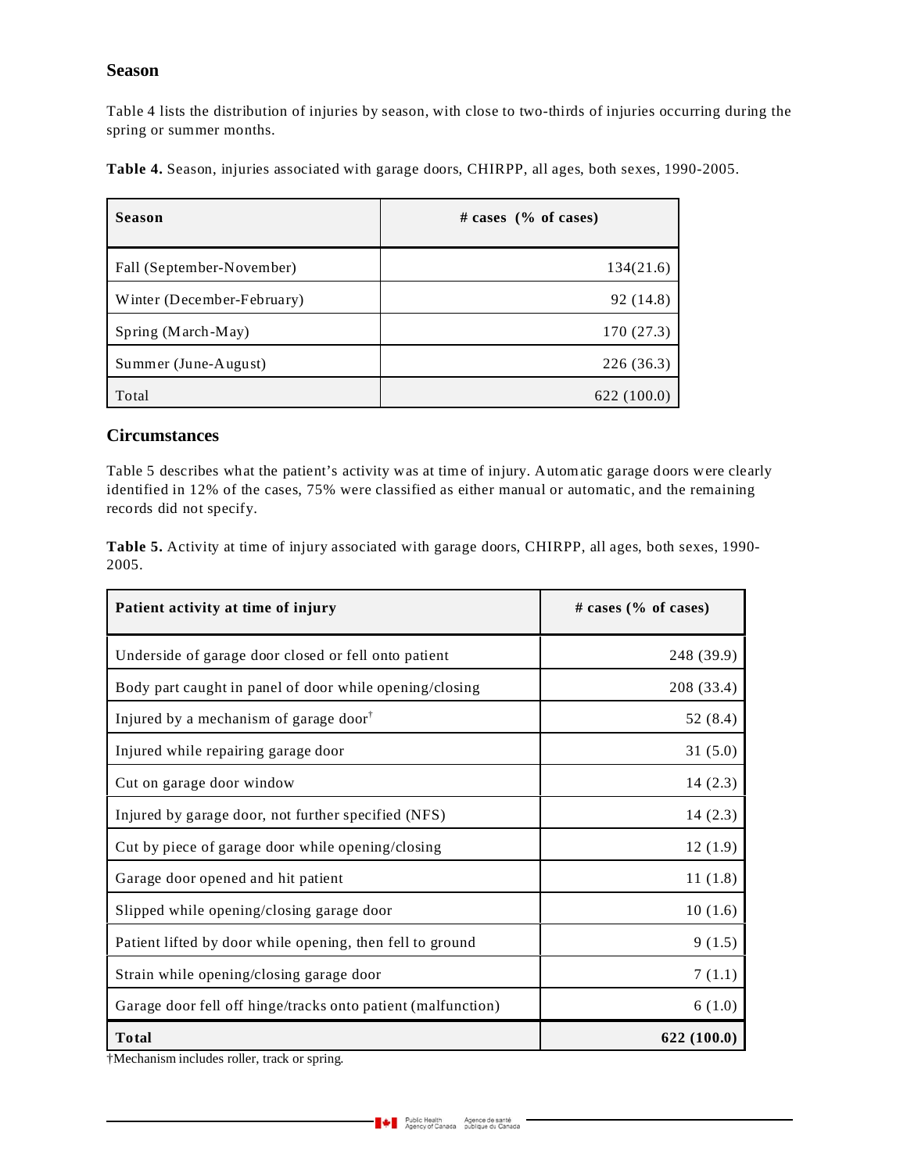#### **Season**

Table 4 lists the distribution of injuries by season, with close to two-thirds of injuries occurring during the spring or summer months.

**Table 4.** Season, injuries associated with garage doors, CHIRPP, all ages, both sexes, 1990-2005.

| <b>Season</b>              | # cases $(\%$ of cases) |  |
|----------------------------|-------------------------|--|
| Fall (September-November)  | 134(21.6)               |  |
| Winter (December-February) | 92 (14.8)               |  |
| Spring (March-May)         | 170 (27.3)              |  |
| Summer (June-August)       | 226 (36.3)              |  |
| Total                      | 622(100.0)              |  |

#### **Circumstances**

Table 5 describes what the patient's activity was at time of injury. Automatic garage doors were clearly identified in 12% of the cases, 75% were classified as either manual or automatic, and the remaining records did not specify.

**Table 5.** Activity at time of injury associated with garage doors, CHIRPP, all ages, both sexes, 1990- 2005.

| Patient activity at time of injury                           | # cases (% of cases) |
|--------------------------------------------------------------|----------------------|
| Underside of garage door closed or fell onto patient         | 248 (39.9)           |
| Body part caught in panel of door while opening/closing      | 208 (33.4)           |
| Injured by a mechanism of garage door <sup>†</sup>           | 52 (8.4)             |
| Injured while repairing garage door                          | 31(5.0)              |
| Cut on garage door window                                    | 14(2.3)              |
| Injured by garage door, not further specified (NFS)          | 14(2.3)              |
| Cut by piece of garage door while opening/closing            | 12(1.9)              |
| Garage door opened and hit patient                           | 11(1.8)              |
| Slipped while opening/closing garage door                    | 10(1.6)              |
| Patient lifted by door while opening, then fell to ground    | 9(1.5)               |
| Strain while opening/closing garage door                     | 7(1.1)               |
| Garage door fell off hinge/tracks onto patient (malfunction) | 6(1.0)               |
| <b>Total</b>                                                 | 622 (100.0)          |

†Mechanism includes roller, track or spring.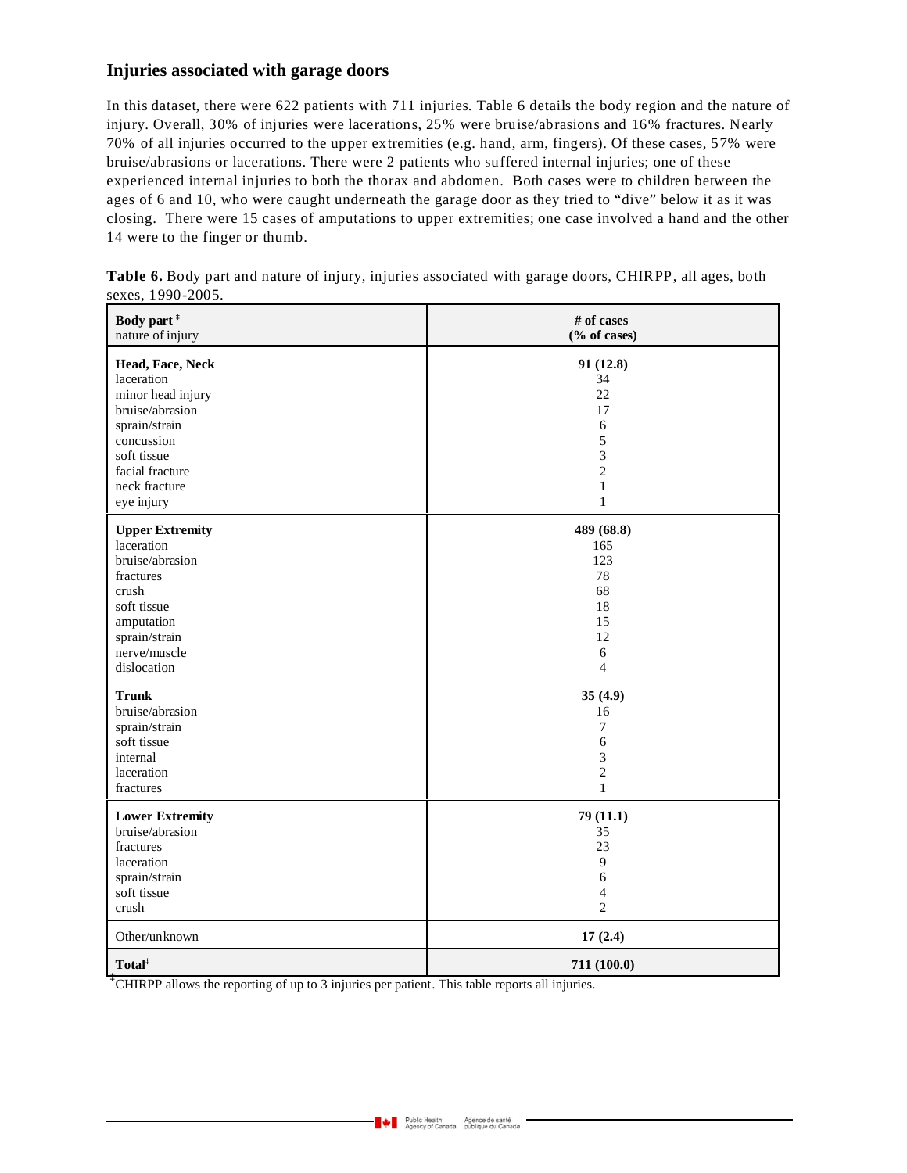### **Injuries associated with garage doors**

In this dataset, there were 622 patients with 711 injuries. Table 6 details the body region and the nature of injury. Overall, 30% of injuries were lacerations, 25% were bruise/abrasions and 16% fractures. Nearly 70% of all injuries occurred to the upper extremities (e.g. hand, arm, fingers). Of these cases, 57% were bruise/abrasions or lacerations. There were 2 patients who suffered internal injuries; one of these experienced internal injuries to both the thorax and abdomen. Both cases were to children between the ages of 6 and 10, who were caught underneath the garage door as they tried to "dive" below it as it was closing. There were 15 cases of amputations to upper extremities; one case involved a hand and the other 14 were to the finger or thumb.

| Body part <sup>#</sup> | # of cases      |
|------------------------|-----------------|
| nature of injury       | $(\%$ of cases) |
| Head, Face, Neck       | 91 (12.8)       |
| laceration             | 34              |
| minor head injury      | 22              |
| bruise/abrasion        | 17              |
| sprain/strain          | $\sqrt{6}$      |
| concussion             | 5               |
| soft tissue            | 3               |
| facial fracture        | $\overline{c}$  |
| neck fracture          | $\mathbf{1}$    |
| eye injury             | $\mathbf{1}$    |
| <b>Upper Extremity</b> | 489 (68.8)      |
| laceration             | 165             |
| bruise/abrasion        | 123             |
| fractures              | 78              |
| crush                  | 68              |
| soft tissue            | 18              |
| amputation             | 15              |
| sprain/strain          | 12              |
| nerve/muscle           | 6               |
| dislocation            | $\overline{4}$  |
| <b>Trunk</b>           | 35(4.9)         |
| bruise/abrasion        | 16              |
| sprain/strain          | 7               |
| soft tissue            | 6               |
| internal               | 3               |
| laceration             | $\overline{2}$  |
| fractures              | $\mathbf{1}$    |
| <b>Lower Extremity</b> | 79 (11.1)       |
| bruise/abrasion        | 35              |
| fractures              | 23              |
| laceration             | 9               |
| sprain/strain          | $\sqrt{6}$      |
| soft tissue            | 4               |
| crush                  | $\overline{2}$  |
| Other/unknown          | 17(2.4)         |
| Total <sup>‡</sup>     | 711 (100.0)     |

**Table 6.** Body part and nature of injury, injuries associated with garage doors, CHIRPP, all ages, both sexes, 1990-2005.

<sup>‡</sup>CHIRPP allows the reporting of up to 3 injuries per patient. This table reports all injuries.